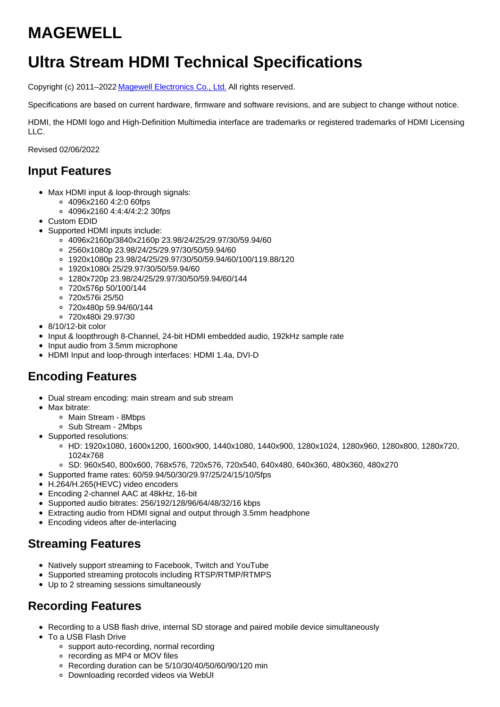# **MAGEWELL**

# **Ultra Stream HDMI Technical Specifications**

Copyright (c) 2011-2022 Magewell [Electronics](http://www.magewell.com) Co., Ltd. All rights reserved.

Specifications are based on current hardware, firmware and software revisions, and are subject to change without notice.

HDMI, the HDMI logo and High-Definition Multimedia interface are trademarks or registered trademarks of HDMI Licensing  $\overline{L}$ 

Revised 02/06/2022

## **Input Features**

- Max HDMI input & loop-through signals:
	- 4096x2160 4:2:0 60fps
	- 4096x2160 4:4:4/4:2:2 30fps
- Custom EDID
- Supported HDMI inputs include:
	- 4096x2160p/3840x2160p 23.98/24/25/29.97/30/59.94/60
	- 2560x1080p 23.98/24/25/29.97/30/50/59.94/60
	- 1920x1080p 23.98/24/25/29.97/30/50/59.94/60/100/119.88/120
	- 1920x1080i 25/29.97/30/50/59.94/60
	- 1280x720p 23.98/24/25/29.97/30/50/59.94/60/144
	- 720x576p 50/100/144
	- 720x576i 25/50
	- 720x480p 59.94/60/144
	- 720x480i 29.97/30
- 8/10/12-bit color
- Input & loopthrough 8-Channel, 24-bit HDMI embedded audio, 192kHz sample rate
- Input audio from 3.5mm microphone
- HDMI Input and loop-through interfaces: HDMI 1.4a, DVI-D

# **Encoding Features**

- Dual stream encoding: main stream and sub stream
- Max bitrate:
	- Main Stream 8Mbps
	- Sub Stream 2Mbps
- Supported resolutions:
	- HD: 1920x1080, 1600x1200, 1600x900, 1440x1080, 1440x900, 1280x1024, 1280x960, 1280x800, 1280x720, 1024x768
	- SD: 960x540, 800x600, 768x576, 720x576, 720x540, 640x480, 640x360, 480x360, 480x270
- Supported frame rates: 60/59.94/50/30/29.97/25/24/15/10/5fps
- H.264/H.265(HEVC) video encoders
- Encoding 2-channel AAC at 48kHz, 16-bit
- Supported audio bitrates: 256/192/128/96/64/48/32/16 kbps
- Extracting audio from HDMI signal and output through 3.5mm headphone
- Encoding videos after de-interlacing

# **Streaming Features**

- Natively support streaming to Facebook, Twitch and YouTube
- Supported streaming protocols including RTSP/RTMP/RTMPS
- Up to 2 streaming sessions simultaneously

# **Recording Features**

- Recording to a USB flash drive, internal SD storage and paired mobile device simultaneously
- To a USB Flash Drive
	- support auto-recording, normal recording
	- o recording as MP4 or MOV files
	- Recording duration can be 5/10/30/40/50/60/90/120 min
	- Downloading recorded videos via WebUI